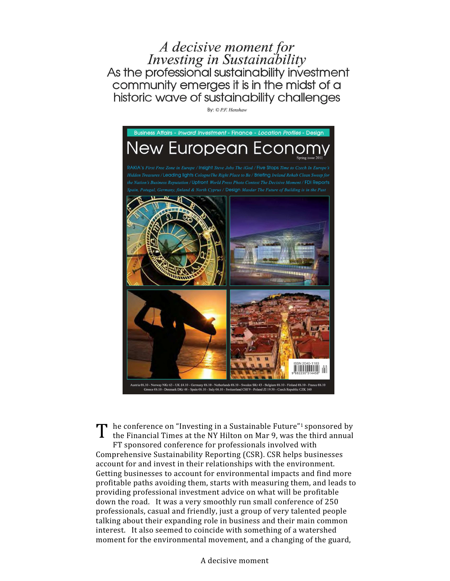A decisive moment for<br>Investing in Sustainability<br>As the professional sustainability investment community emerges it is in the midst of a historic wave of sustainability challenges

By: © P.F. Henshaw



he conference on "Investing in a Sustainable Future" <sup>1</sup>sponsored by the Financial Times at the NY Hilton on Mar 9, was the third annual T

FT sponsored conference for professionals involved with Comprehensive Sustainability Reporting (CSR). CSR helps businesses account for and invest in their relationships with the environment. Getting businesses to account for environmental impacts and find more profitable paths avoiding them, starts with measuring them, and leads to providing professional investment advice on what will be profitable down the road. It was a very smoothly run small conference of 250 professionals, casual and friendly, just a group of very talented people talking about their expanding role in business and their main common interest. It also seemed to coincide with something of a watershed moment for the environmental movement, and a changing of the guard,

A decisive moment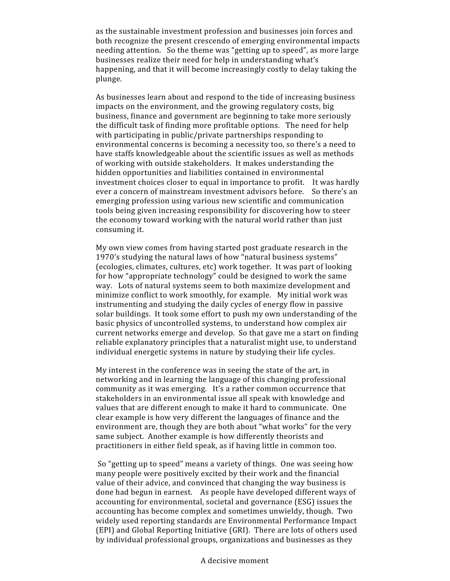as the sustainable investment profession and businesses join forces and both recognize the present crescendo of emerging environmental impacts needing attention. So the theme was "getting up to speed", as more large businesses realize their need for help in understanding what's happening, and that it will become increasingly costly to delay taking the plunge.

As businesses learn about and respond to the tide of increasing business impacts on the environment, and the growing regulatory costs, big business, finance and government are beginning to take more seriously the difficult task of finding more profitable options. The need for help with participating in public/private partnerships responding to environmental concerns is becoming a necessity too, so there's a need to have staffs knowledgeable about the scientific issues as well as methods of working with outside stakeholders. It makes understanding the hidden opportunities and liabilities contained in environmental investment choices closer to equal in importance to profit. It was hardly ever a concern of mainstream investment advisors before. So there's an emerging profession using various new scientific and communication tools being given increasing responsibility for discovering how to steer the economy toward working with the natural world rather than just consuming it.

My own view comes from having started post graduate research in the 1970's studying the natural laws of how "natural business systems" (ecologies, climates, cultures, etc) work together. It was part of looking for how "appropriate technology" could be designed to work the same way. Lots of natural systems seem to both maximize development and minimize conflict to work smoothly, for example. My initial work was instrumenting and studying the daily cycles of energy flow in passive solar buildings. It took some effort to push my own understanding of the basic physics of uncontrolled systems, to understand how complex air current networks emerge and develop. So that gave me a start on finding reliable explanatory principles that a naturalist might use, to understand individual energetic systems in nature by studying their life cycles.

My interest in the conference was in seeing the state of the art, in networking and in learning the language of this changing professional community as it was emerging. It's a rather common occurrence that stakeholders in an environmental issue all speak with knowledge and values that are different enough to make it hard to communicate. One clear example is how very different the languages of finance and the environment are, though they are both about "what works" for the very same subject. Another example is how differently theorists and practitioners in either field speak, as if having little in common too.

 So "getting up to speed" means a variety of things. One was seeing how many people were positively excited by their work and the financial value of their advice, and convinced that changing the way business is done had begun in earnest. As people have developed different ways of accounting for environmental, societal and governance (ESG) issues the accounting has become complex and sometimes unwieldy, though. Two widely used reporting standards are Environmental Performance Impact (EPI) and Global Reporting Initiative (GRI). There are lots of others used by individual professional groups, organizations and businesses as they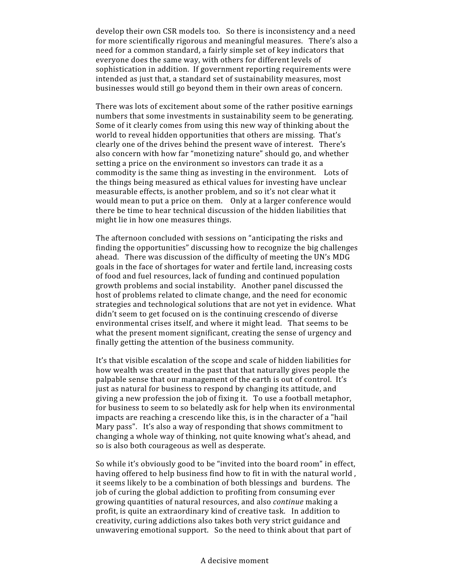develop their own CSR models too. So there is inconsistency and a need for more scientifically rigorous and meaningful measures. There's also a need for a common standard, a fairly simple set of key indicators that everyone does the same way, with others for different levels of sophistication in addition. If government reporting requirements were intended as just that, a standard set of sustainability measures, most businesses would still go beyond them in their own areas of concern.

There was lots of excitement about some of the rather positive earnings numbers that some investments in sustainability seem to be generating. Some of it clearly comes from using this new way of thinking about the world to reveal hidden opportunities that others are missing. That's clearly one of the drives behind the present wave of interest. There's also concern with how far "monetizing nature" should go, and whether setting a price on the environment so investors can trade it as a commodity is the same thing as investing in the environment. Lots of the things being measured as ethical values for investing have unclear measurable effects, is another problem, and so it's not clear what it would mean to put a price on them. Only at a larger conference would there be time to hear technical discussion of the hidden liabilities that might lie in how one measures things.

The afternoon concluded with sessions on "anticipating the risks and finding the opportunities" discussing how to recognize the big challenges ahead. There was discussion of the difficulty of meeting the UN's MDG goals in the face of shortages for water and fertile land, increasing costs of food and fuel resources, lack of funding and continued population growth problems and social instability. Another panel discussed the host of problems related to climate change, and the need for economic strategies and technological solutions that are not yet in evidence. What didn't seem to get focused on is the continuing crescendo of diverse environmental crises itself, and where it might lead. That seems to be what the present moment significant, creating the sense of urgency and finally getting the attention of the business community.

It's that visible escalation of the scope and scale of hidden liabilities for how wealth was created in the past that that naturally gives people the palpable sense that our management of the earth is out of control. It's just as natural for business to respond by changing its attitude, and giving a new profession the job of fixing it. To use a football metaphor, for business to seem to so belatedly ask for help when its environmental impacts are reaching a crescendo like this, is in the character of a "hail Mary pass". It's also a way of responding that shows commitment to changing a whole way of thinking, not quite knowing what's ahead, and so is also both courageous as well as desperate.

So while it's obviously good to be "invited into the board room" in effect, having offered to help business find how to fit in with the natural world , it seems likely to be a combination of both blessings and burdens. The job of curing the global addiction to profiting from consuming ever growing quantities of natural resources, and also continue making a profit, is quite an extraordinary kind of creative task. In addition to creativity, curing addictions also takes both very strict guidance and unwavering emotional support. So the need to think about that part of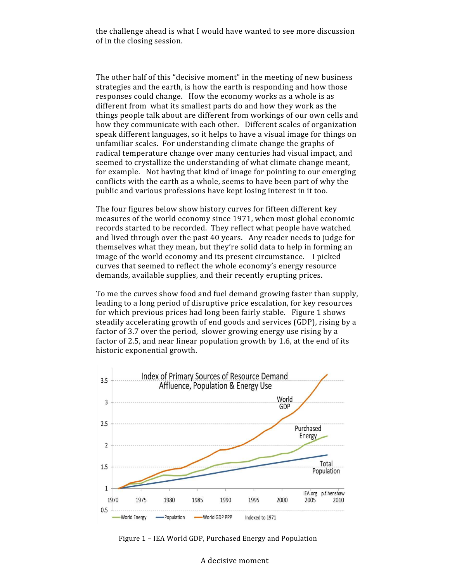the challenge ahead is what I would have wanted to see more discussion of in the closing session.

The other half of this "decisive moment" in the meeting of new business strategies and the earth, is how the earth is responding and how those responses could change. How the economy works as a whole is as different from what its smallest parts do and how they work as the things people talk about are different from workings of our own cells and how they communicate with each other. Different scales of organization speak different languages, so it helps to have a visual image for things on unfamiliar scales. For understanding climate change the graphs of radical temperature change over many centuries had visual impact, and seemed to crystallize the understanding of what climate change meant, for example. Not having that kind of image for pointing to our emerging conflicts with the earth as a whole, seems to have been part of why the public and various professions have kept losing interest in it too.

The four figures below show history curves for fifteen different key measures of the world economy since 1971, when most global economic records started to be recorded. They reflect what people have watched and lived through over the past 40 years. Any reader needs to judge for themselves what they mean, but they're solid data to help in forming an image of the world economy and its present circumstance. I picked curves that seemed to reflect the whole economy's energy resource demands, available supplies, and their recently erupting prices.

To me the curves show food and fuel demand growing faster than supply, leading to a long period of disruptive price escalation, for key resources for which previous prices had long been fairly stable. Figure 1 shows steadily accelerating growth of end goods and services (GDP), rising by a factor of 3.7 over the period, slower growing energy use rising by a factor of 2.5, and near linear population growth by 1.6, at the end of its historic exponential growth.



Figure 1 – IEA World GDP, Purchased Energy and Population

A decisive moment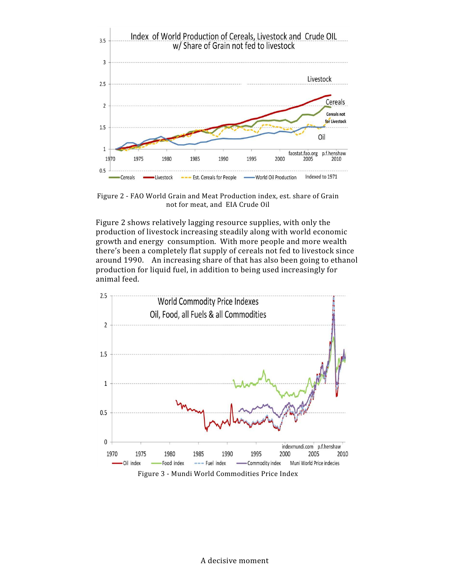

Figure 2 - FAO World Grain and Meat Production index, est. share of Grain not for meat, and EIA Crude Oil

Figure 2 shows relatively lagging resource supplies, with only the production of livestock increasing steadily along with world economic growth and energy consumption. With more people and more wealth there's been a completely flat supply of cereals not fed to livestock since around 1990. An increasing share of that has also been going to ethanol production for liquid fuel, in addition to being used increasingly for animal feed.

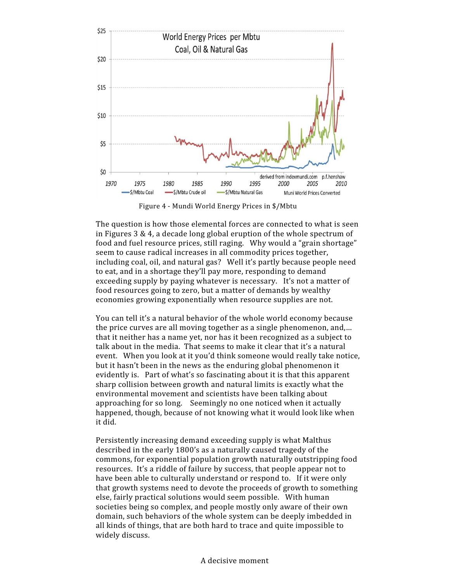

Figure 4 - Mundi World Energy Prices in \$/Mbtu

The question is how those elemental forces are connected to what is seen in Figures 3 & 4, a decade long global eruption of the whole spectrum of food and fuel resource prices, still raging. Why would a "grain shortage" seem to cause radical increases in all commodity prices together, including coal, oil, and natural gas? Well it's partly because people need to eat, and in a shortage they'll pay more, responding to demand exceeding supply by paying whatever is necessary. It's not a matter of food resources going to zero, but a matter of demands by wealthy economies growing exponentially when resource supplies are not.

You can tell it's a natural behavior of the whole world economy because the price curves are all moving together as a single phenomenon, and,… that it neither has a name yet, nor has it been recognized as a subject to talk about in the media. That seems to make it clear that it's a natural event. When you look at it you'd think someone would really take notice, but it hasn't been in the news as the enduring global phenomenon it evidently is. Part of what's so fascinating about it is that this apparent sharp collision between growth and natural limits is exactly what the environmental movement and scientists have been talking about approaching for so long. Seemingly no one noticed when it actually happened, though, because of not knowing what it would look like when it did.

Persistently increasing demand exceeding supply is what Malthus described in the early 1800's as a naturally caused tragedy of the commons, for exponential population growth naturally outstripping food resources. It's a riddle of failure by success, that people appear not to have been able to culturally understand or respond to. If it were only that growth systems need to devote the proceeds of growth to something else, fairly practical solutions would seem possible. With human societies being so complex, and people mostly only aware of their own domain, such behaviors of the whole system can be deeply imbedded in all kinds of things, that are both hard to trace and quite impossible to widely discuss.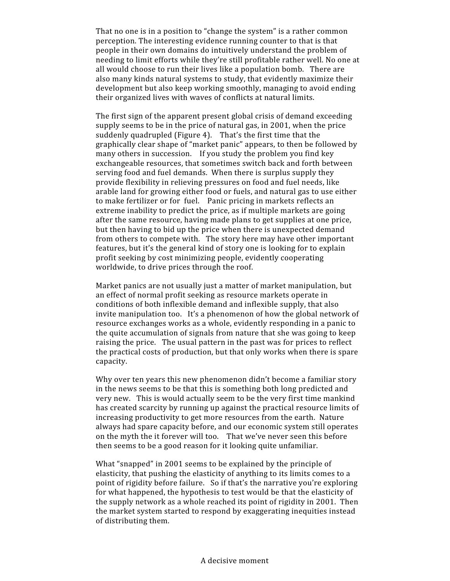That no one is in a position to "change the system" is a rather common perception. The interesting evidence running counter to that is that people in their own domains do intuitively understand the problem of needing to limit efforts while they're still profitable rather well. No one at all would choose to run their lives like a population bomb. There are also many kinds natural systems to study, that evidently maximize their development but also keep working smoothly, managing to avoid ending their organized lives with waves of conflicts at natural limits.

The first sign of the apparent present global crisis of demand exceeding supply seems to be in the price of natural gas, in 2001, when the price suddenly quadrupled (Figure 4). That's the first time that the graphically clear shape of "market panic" appears, to then be followed by many others in succession. If you study the problem you find key exchangeable resources, that sometimes switch back and forth between serving food and fuel demands. When there is surplus supply they provide flexibility in relieving pressures on food and fuel needs, like arable land for growing either food or fuels, and natural gas to use either to make fertilizer or for fuel. Panic pricing in markets reflects an extreme inability to predict the price, as if multiple markets are going after the same resource, having made plans to get supplies at one price, but then having to bid up the price when there is unexpected demand from others to compete with. The story here may have other important features, but it's the general kind of story one is looking for to explain profit seeking by cost minimizing people, evidently cooperating worldwide, to drive prices through the roof.

Market panics are not usually just a matter of market manipulation, but an effect of normal profit seeking as resource markets operate in conditions of both inflexible demand and inflexible supply, that also invite manipulation too. It's a phenomenon of how the global network of resource exchanges works as a whole, evidently responding in a panic to the quite accumulation of signals from nature that she was going to keep raising the price. The usual pattern in the past was for prices to reflect the practical costs of production, but that only works when there is spare capacity.

Why over ten years this new phenomenon didn't become a familiar story in the news seems to be that this is something both long predicted and very new. This is would actually seem to be the very first time mankind has created scarcity by running up against the practical resource limits of increasing productivity to get more resources from the earth. Nature always had spare capacity before, and our economic system still operates on the myth the it forever will too. That we've never seen this before then seems to be a good reason for it looking quite unfamiliar.

What "snapped" in 2001 seems to be explained by the principle of elasticity, that pushing the elasticity of anything to its limits comes to a point of rigidity before failure. So if that's the narrative you're exploring for what happened, the hypothesis to test would be that the elasticity of the supply network as a whole reached its point of rigidity in 2001. Then the market system started to respond by exaggerating inequities instead of distributing them.